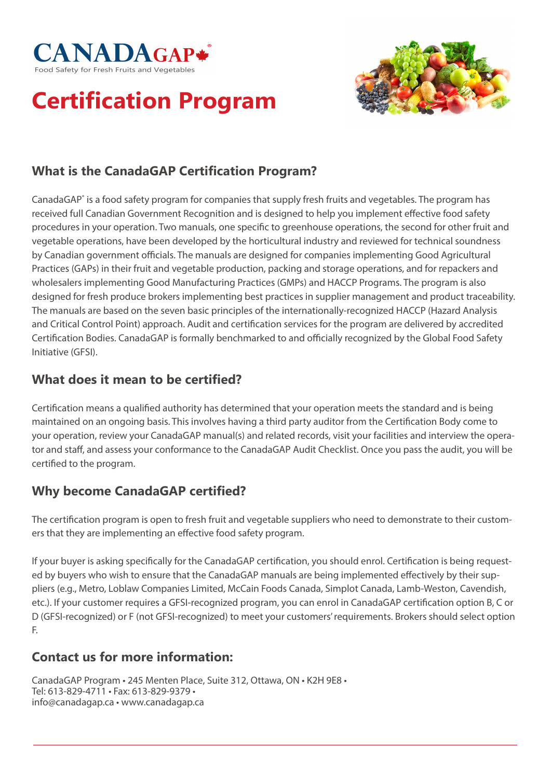



# **Certification Program**

### **What is the CanadaGAP Certification Program?**

CanadaGAP<sup>®</sup> is a food safety program for companies that supply fresh fruits and vegetables. The program has received full Canadian Government Recognition and is designed to help you implement effective food safety procedures in your operation. Two manuals, one specific to greenhouse operations, the second for other fruit and vegetable operations, have been developed by the horticultural industry and reviewed for technical soundness by Canadian government officials. The manuals are designed for companies implementing Good Agricultural Practices (GAPs) in their fruit and vegetable production, packing and storage operations, and for repackers and wholesalers implementing Good Manufacturing Practices (GMPs) and HACCP Programs. The program is also designed for fresh produce brokers implementing best practices in supplier management and product traceability. The manuals are based on the seven basic principles of the internationally-recognized HACCP (Hazard Analysis and Critical Control Point) approach. Audit and certification services for the program are delivered by accredited Certification Bodies. CanadaGAP is formally benchmarked to and officially recognized by the Global Food Safety Initiative (GFSI).

#### **What does it mean to be certified?**

Certification means a qualified authority has determined that your operation meets the standard and is being maintained on an ongoing basis. This involves having a third party auditor from the Certification Body come to your operation, review your CanadaGAP manual(s) and related records, visit your facilities and interview the operator and staff, and assess your conformance to the CanadaGAP Audit Checklist. Once you pass the audit, you will be certified to the program.

#### **Why become CanadaGAP certified?**

The certification program is open to fresh fruit and vegetable suppliers who need to demonstrate to their customers that they are implementing an effective food safety program.

If your buyer is asking specifically for the CanadaGAP certification, you should enrol. Certification is being requested by buyers who wish to ensure that the CanadaGAP manuals are being implemented effectively by their suppliers (e.g., Metro, Loblaw Companies Limited, McCain Foods Canada, Simplot Canada, Lamb-Weston, Cavendish, etc.). If your customer requires a GFSI-recognized program, you can enrol in CanadaGAP certification option B, C or D (GFSI-recognized) or F (not GFSI-recognized) to meet your customers' requirements. Brokers should select option F.

#### **Contact us for more information:**

CanadaGAP Program • 245 Menten Place, Suite 312, Ottawa, ON • K2H 9E8 • Tel: 613-829-4711 • Fax: 613-829-9379 • info@canadagap.ca • www.canadagap.ca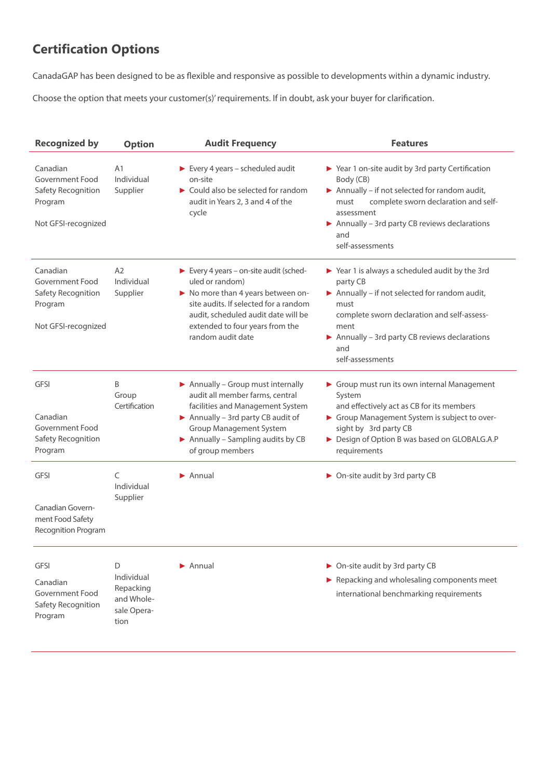## **Certification Options**

CanadaGAP has been designed to be as flexible and responsive as possible to developments within a dynamic industry.

Choose the option that meets your customer(s)' requirements. If in doubt, ask your buyer for clarification.

| <b>Recognized by</b>                                                                | <b>Option</b>                                                     | <b>Audit Frequency</b>                                                                                                                                                                                                                                     | <b>Features</b>                                                                                                                                                                                                                                                      |
|-------------------------------------------------------------------------------------|-------------------------------------------------------------------|------------------------------------------------------------------------------------------------------------------------------------------------------------------------------------------------------------------------------------------------------------|----------------------------------------------------------------------------------------------------------------------------------------------------------------------------------------------------------------------------------------------------------------------|
| Canadian<br>Government Food<br>Safety Recognition<br>Program<br>Not GFSI-recognized | A <sub>1</sub><br>Individual<br>Supplier                          | $\blacktriangleright$ Every 4 years – scheduled audit<br>on-site<br>► Could also be selected for random<br>audit in Years 2, 3 and 4 of the<br>cycle                                                                                                       | ▶ Year 1 on-site audit by 3rd party Certification<br>Body (CB)<br>Annually - if not selected for random audit,<br>complete sworn declaration and self-<br>must<br>assessment<br>Annually $-$ 3rd party CB reviews declarations<br>and<br>self-assessments            |
| Canadian<br>Government Food<br>Safety Recognition<br>Program<br>Not GFSI-recognized | A2<br>Individual<br>Supplier                                      | $\blacktriangleright$ Every 4 years – on-site audit (sched-<br>uled or random)<br>No more than 4 years between on-<br>site audits. If selected for a random<br>audit, scheduled audit date will be<br>extended to four years from the<br>random audit date | $\triangleright$ Year 1 is always a scheduled audit by the 3rd<br>party CB<br>Annually - if not selected for random audit,<br>must<br>complete sworn declaration and self-assess-<br>ment<br>Annually – 3rd party CB reviews declarations<br>and<br>self-assessments |
| <b>GFSI</b><br>Canadian<br>Government Food<br>Safety Recognition<br>Program         | B<br>Group<br>Certification                                       | Annually - Group must internally<br>audit all member farms, central<br>facilities and Management System<br>Annually - 3rd party CB audit of<br><b>Group Management System</b><br>Annually – Sampling audits by $CB$<br>of group members                    | Group must run its own internal Management<br>System<br>and effectively act as CB for its members<br>Group Management System is subject to over-<br>sight by 3rd party CB<br>Design of Option B was based on GLOBALG.A.P<br>requirements                             |
| <b>GFSI</b><br>Canadian Govern-<br>ment Food Safety<br>Recognition Program          | C<br>Individual<br>Supplier                                       | $\blacktriangleright$ Annual                                                                                                                                                                                                                               | • On-site audit by 3rd party CB                                                                                                                                                                                                                                      |
| <b>GFSI</b><br>Canadian<br>Government Food<br>Safety Recognition<br>Program         | D<br>Individual<br>Repacking<br>and Whole-<br>sale Opera-<br>tion | $\blacktriangleright$ Annual                                                                                                                                                                                                                               | ▶ On-site audit by 3rd party CB<br>Repacking and wholesaling components meet<br>international benchmarking requirements                                                                                                                                              |